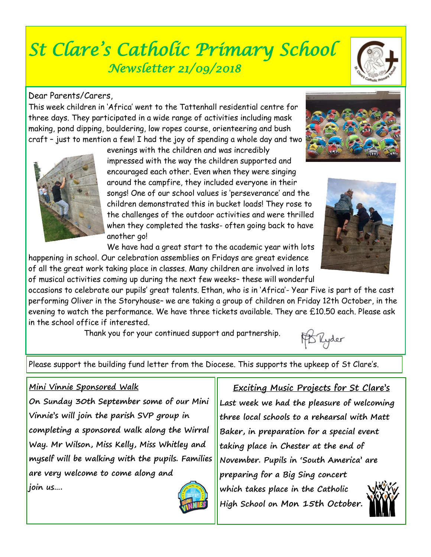# *St Clare's Catholic Primary School Newsletter 21/09/2018*

## Dear Parents/Carers,

This week children in 'Africa' went to the Tattenhall residential centre for three days. They participated in a wide range of activities including mask making, pond dipping, bouldering, low ropes course, orienteering and bush craft – just to mention a few! I had the joy of spending a whole day and two

> evenings with the children and was incredibly impressed with the way the children supported and encouraged each other. Even when they were singing around the campfire, they included everyone in their songs! One of our school values is 'perseverance' and the children demonstrated this in bucket loads! They rose to the challenges of the outdoor activities and were thrilled when they completed the tasks- often going back to have another go!

We have had a great start to the academic year with lots happening in school. Our celebration assemblies on Fridays are great evidence of all the great work taking place in classes. Many children are involved in lots

of musical activities coming up during the next few weeks– these will wonderful occasions to celebrate our pupils' great talents. Ethan, who is in 'Africa'- Year Five is part of the cast performing Oliver in the Storyhouse– we are taking a group of children on Friday 12th October, in the evening to watch the performance. We have three tickets available. They are £10.50 each. Please ask in the school office if interested.

Thank you for your continued support and partnership.

Please support the building fund letter from the Diocese. This supports the upkeep of St Clare's.

### **Mini Vinnie Sponsored Walk**

**On Sunday 30th September some of our Mini Vinnie's will join the parish SVP group in completing a sponsored walk along the Wirral Way. Mr Wilson, Miss Kelly, Miss Whitley and myself will be walking with the pupils. Families are very welcome to come along and join us….** 

**three local schools to a rehearsal with Matt Baker, in preparation for a special event taking place in Chester at the end of November. Pupils in 'South America' are preparing for a Big Sing concert which takes place in the Catholic High School on Mon 15th October.** 







PSRyder





## **Exciting Music Projects for St Clare's**

**Last week we had the pleasure of welcoming**